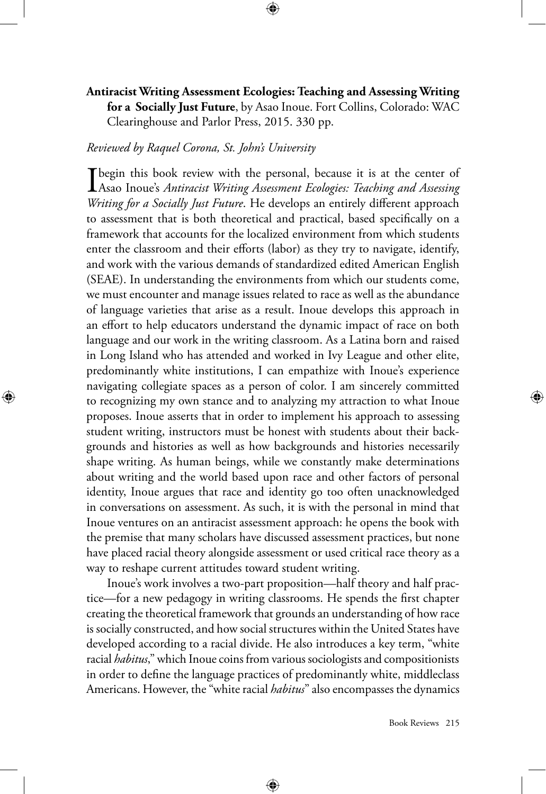## **Antiracist Writing Assessment Ecologies: Teaching and Assessing Writing for a Socially Just Future**, by Asao Inoue. Fort Collins, Colorado: WAC Clearinghouse and Parlor Press, 2015. 330 pp.

## *Reviewed by Raquel Corona, St. John's University*

⊕

I begin this book review with the personal, because it is at the center of Asao Inoue's *Antiracist Writing Assessment Ecologies: Teaching and Assessing Writing for a Socially Just Future*. He develops an entirely different approach to assessment that is both theoretical and practical, based specifically on a framework that accounts for the localized environment from which students enter the classroom and their efforts (labor) as they try to navigate, identify, and work with the various demands of standardized edited American English (SEAE). In understanding the environments from which our students come, we must encounter and manage issues related to race as well as the abundance of language varieties that arise as a result. Inoue develops this approach in an effort to help educators understand the dynamic impact of race on both language and our work in the writing classroom. As a Latina born and raised in Long Island who has attended and worked in Ivy League and other elite, predominantly white institutions, I can empathize with Inoue's experience navigating collegiate spaces as a person of color. I am sincerely committed to recognizing my own stance and to analyzing my attraction to what Inoue proposes. Inoue asserts that in order to implement his approach to assessing student writing, instructors must be honest with students about their backgrounds and histories as well as how backgrounds and histories necessarily shape writing. As human beings, while we constantly make determinations about writing and the world based upon race and other factors of personal identity, Inoue argues that race and identity go too often unacknowledged in conversations on assessment. As such, it is with the personal in mind that Inoue ventures on an antiracist assessment approach: he opens the book with the premise that many scholars have discussed assessment practices, but none have placed racial theory alongside assessment or used critical race theory as a way to reshape current attitudes toward student writing.

Inoue's work involves a two-part proposition—half theory and half practice—for a new pedagogy in writing classrooms. He spends the first chapter creating the theoretical framework that grounds an understanding of how race is socially constructed, and how social structures within the United States have developed according to a racial divide. He also introduces a key term, "white racial *habitus*," which Inoue coins from various sociologists and compositionists in order to define the language practices of predominantly white, middleclass Americans. However, the "white racial *habitus*" also encompasses the dynamics

⊕

Book Reviews 215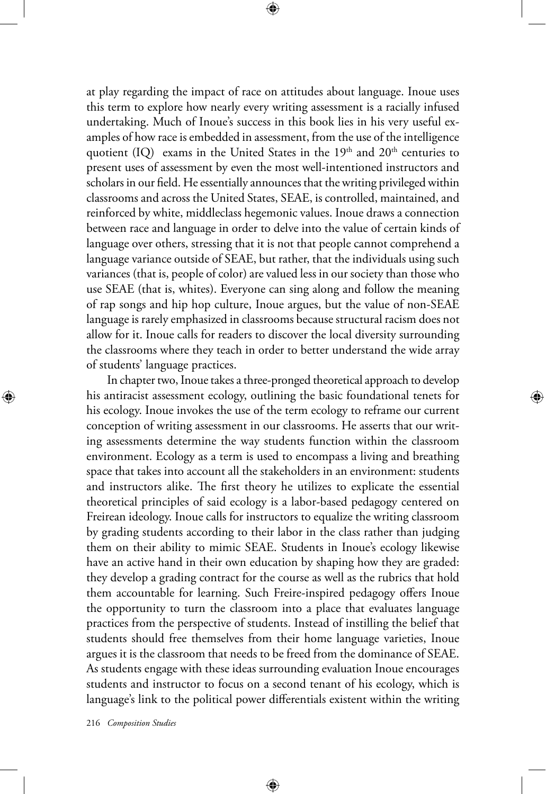at play regarding the impact of race on attitudes about language. Inoue uses this term to explore how nearly every writing assessment is a racially infused undertaking. Much of Inoue's success in this book lies in his very useful examples of how race is embedded in assessment, from the use of the intelligence quotient (IQ) exams in the United States in the  $19<sup>th</sup>$  and  $20<sup>th</sup>$  centuries to present uses of assessment by even the most well-intentioned instructors and scholars in our field. He essentially announces that the writing privileged within classrooms and across the United States, SEAE, is controlled, maintained, and reinforced by white, middleclass hegemonic values. Inoue draws a connection between race and language in order to delve into the value of certain kinds of language over others, stressing that it is not that people cannot comprehend a language variance outside of SEAE, but rather, that the individuals using such variances (that is, people of color) are valued less in our society than those who use SEAE (that is, whites). Everyone can sing along and follow the meaning of rap songs and hip hop culture, Inoue argues, but the value of non-SEAE language is rarely emphasized in classrooms because structural racism does not allow for it. Inoue calls for readers to discover the local diversity surrounding the classrooms where they teach in order to better understand the wide array of students' language practices.

In chapter two, Inoue takes a three-pronged theoretical approach to develop his antiracist assessment ecology, outlining the basic foundational tenets for his ecology. Inoue invokes the use of the term ecology to reframe our current conception of writing assessment in our classrooms. He asserts that our writing assessments determine the way students function within the classroom environment. Ecology as a term is used to encompass a living and breathing space that takes into account all the stakeholders in an environment: students and instructors alike. The first theory he utilizes to explicate the essential theoretical principles of said ecology is a labor-based pedagogy centered on Freirean ideology. Inoue calls for instructors to equalize the writing classroom by grading students according to their labor in the class rather than judging them on their ability to mimic SEAE. Students in Inoue's ecology likewise have an active hand in their own education by shaping how they are graded: they develop a grading contract for the course as well as the rubrics that hold them accountable for learning. Such Freire-inspired pedagogy offers Inoue the opportunity to turn the classroom into a place that evaluates language practices from the perspective of students. Instead of instilling the belief that students should free themselves from their home language varieties, Inoue argues it is the classroom that needs to be freed from the dominance of SEAE. As students engage with these ideas surrounding evaluation Inoue encourages students and instructor to focus on a second tenant of his ecology, which is language's link to the political power differentials existent within the writing

⊕

216 *Composition Studies* 

⊕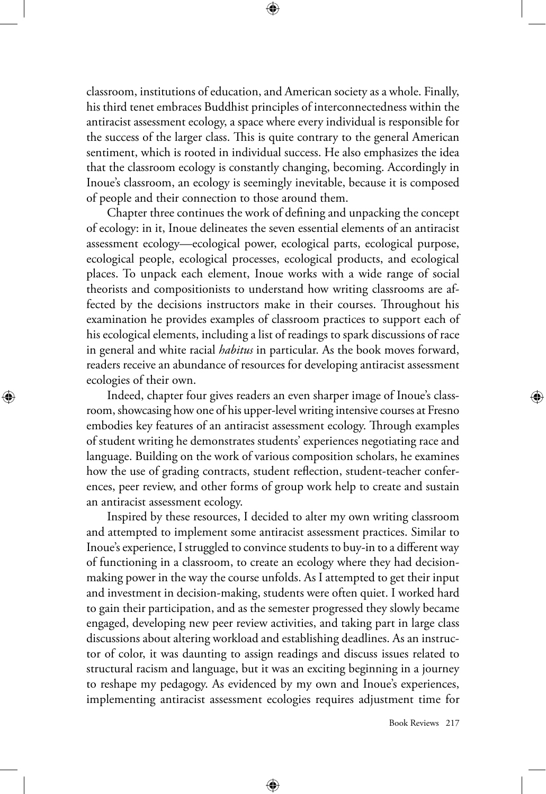classroom, institutions of education, and American society as a whole. Finally, his third tenet embraces Buddhist principles of interconnectedness within the antiracist assessment ecology, a space where every individual is responsible for the success of the larger class. This is quite contrary to the general American sentiment, which is rooted in individual success. He also emphasizes the idea that the classroom ecology is constantly changing, becoming. Accordingly in Inoue's classroom, an ecology is seemingly inevitable, because it is composed of people and their connection to those around them.

Chapter three continues the work of defining and unpacking the concept of ecology: in it, Inoue delineates the seven essential elements of an antiracist assessment ecology—ecological power, ecological parts, ecological purpose, ecological people, ecological processes, ecological products, and ecological places. To unpack each element, Inoue works with a wide range of social theorists and compositionists to understand how writing classrooms are affected by the decisions instructors make in their courses. Throughout his examination he provides examples of classroom practices to support each of his ecological elements, including a list of readings to spark discussions of race in general and white racial *habitus* in particular. As the book moves forward, readers receive an abundance of resources for developing antiracist assessment ecologies of their own.

Indeed, chapter four gives readers an even sharper image of Inoue's classroom, showcasing how one of his upper-level writing intensive courses at Fresno embodies key features of an antiracist assessment ecology. Through examples of student writing he demonstrates students' experiences negotiating race and language. Building on the work of various composition scholars, he examines how the use of grading contracts, student reflection, student-teacher conferences, peer review, and other forms of group work help to create and sustain an antiracist assessment ecology.

⊕

Inspired by these resources, I decided to alter my own writing classroom and attempted to implement some antiracist assessment practices. Similar to Inoue's experience, I struggled to convince students to buy-in to a different way of functioning in a classroom, to create an ecology where they had decisionmaking power in the way the course unfolds. As I attempted to get their input and investment in decision-making, students were often quiet. I worked hard to gain their participation, and as the semester progressed they slowly became engaged, developing new peer review activities, and taking part in large class discussions about altering workload and establishing deadlines. As an instructor of color, it was daunting to assign readings and discuss issues related to structural racism and language, but it was an exciting beginning in a journey to reshape my pedagogy. As evidenced by my own and Inoue's experiences, implementing antiracist assessment ecologies requires adjustment time for

⊕